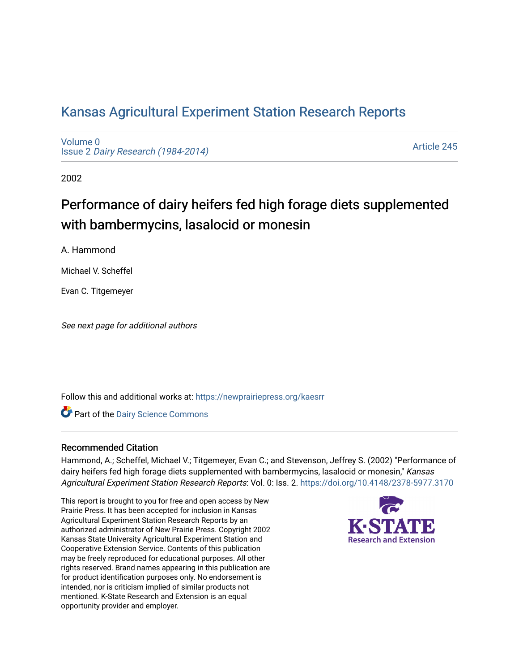# [Kansas Agricultural Experiment Station Research Reports](https://newprairiepress.org/kaesrr)

[Volume 0](https://newprairiepress.org/kaesrr/vol0) Issue 2 [Dairy Research \(1984-2014\)](https://newprairiepress.org/kaesrr/vol0/iss2) 

[Article 245](https://newprairiepress.org/kaesrr/vol0/iss2/245) 

2002

# Performance of dairy heifers fed high forage diets supplemented with bambermycins, lasalocid or monesin

A. Hammond

Michael V. Scheffel

Evan C. Titgemeyer

See next page for additional authors

Follow this and additional works at: [https://newprairiepress.org/kaesrr](https://newprairiepress.org/kaesrr?utm_source=newprairiepress.org%2Fkaesrr%2Fvol0%2Fiss2%2F245&utm_medium=PDF&utm_campaign=PDFCoverPages) 

Part of the [Dairy Science Commons](http://network.bepress.com/hgg/discipline/79?utm_source=newprairiepress.org%2Fkaesrr%2Fvol0%2Fiss2%2F245&utm_medium=PDF&utm_campaign=PDFCoverPages) 

#### Recommended Citation

Hammond, A.; Scheffel, Michael V.; Titgemeyer, Evan C.; and Stevenson, Jeffrey S. (2002) "Performance of dairy heifers fed high forage diets supplemented with bambermycins, lasalocid or monesin," Kansas Agricultural Experiment Station Research Reports: Vol. 0: Iss. 2.<https://doi.org/10.4148/2378-5977.3170>

This report is brought to you for free and open access by New Prairie Press. It has been accepted for inclusion in Kansas Agricultural Experiment Station Research Reports by an authorized administrator of New Prairie Press. Copyright 2002 Kansas State University Agricultural Experiment Station and Cooperative Extension Service. Contents of this publication may be freely reproduced for educational purposes. All other rights reserved. Brand names appearing in this publication are for product identification purposes only. No endorsement is intended, nor is criticism implied of similar products not mentioned. K-State Research and Extension is an equal opportunity provider and employer.

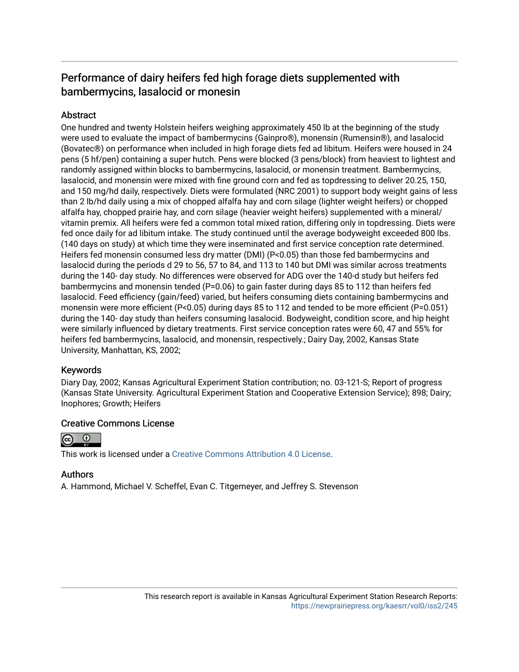# Performance of dairy heifers fed high forage diets supplemented with bambermycins, lasalocid or monesin

# **Abstract**

One hundred and twenty Holstein heifers weighing approximately 450 lb at the beginning of the study were used to evaluate the impact of bambermycins (Gainpro®), monensin (Rumensin®), and lasalocid (Bovatec®) on performance when included in high forage diets fed ad libitum. Heifers were housed in 24 pens (5 hf/pen) containing a super hutch. Pens were blocked (3 pens/block) from heaviest to lightest and randomly assigned within blocks to bambermycins, lasalocid, or monensin treatment. Bambermycins, lasalocid, and monensin were mixed with fine ground corn and fed as topdressing to deliver 20.25, 150, and 150 mg/hd daily, respectively. Diets were formulated (NRC 2001) to support body weight gains of less than 2 lb/hd daily using a mix of chopped alfalfa hay and corn silage (lighter weight heifers) or chopped alfalfa hay, chopped prairie hay, and corn silage (heavier weight heifers) supplemented with a mineral/ vitamin premix. All heifers were fed a common total mixed ration, differing only in topdressing. Diets were fed once daily for ad libitum intake. The study continued until the average bodyweight exceeded 800 lbs. (140 days on study) at which time they were inseminated and first service conception rate determined. Heifers fed monensin consumed less dry matter (DMI) (P<0.05) than those fed bambermycins and lasalocid during the periods d 29 to 56, 57 to 84, and 113 to 140 but DMI was similar across treatments during the 140- day study. No differences were observed for ADG over the 140-d study but heifers fed bambermycins and monensin tended (P=0.06) to gain faster during days 85 to 112 than heifers fed lasalocid. Feed efficiency (gain/feed) varied, but heifers consuming diets containing bambermycins and monensin were more efficient (P<0.05) during days 85 to 112 and tended to be more efficient (P=0.051) during the 140- day study than heifers consuming lasalocid. Bodyweight, condition score, and hip height were similarly influenced by dietary treatments. First service conception rates were 60, 47 and 55% for heifers fed bambermycins, lasalocid, and monensin, respectively.; Dairy Day, 2002, Kansas State University, Manhattan, KS, 2002;

## Keywords

Diary Day, 2002; Kansas Agricultural Experiment Station contribution; no. 03-121-S; Report of progress (Kansas State University. Agricultural Experiment Station and Cooperative Extension Service); 898; Dairy; Inophores; Growth; Heifers

## Creative Commons License



This work is licensed under a [Creative Commons Attribution 4.0 License](https://creativecommons.org/licenses/by/4.0/).

## Authors

A. Hammond, Michael V. Scheffel, Evan C. Titgemeyer, and Jeffrey S. Stevenson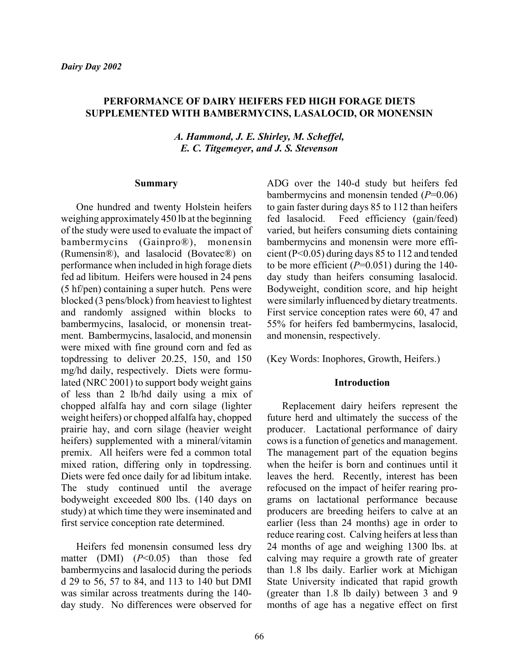#### **PERFORMANCE OF DAIRY HEIFERS FED HIGH FORAGE DIETS SUPPLEMENTED WITH BAMBERMYCINS, LASALOCID, OR MONENSIN**

*A. Hammond, J. E. Shirley, M. Scheffel, E. C. Titgemeyer, and J. S. Stevenson*

#### **Summary**

One hundred and twenty Holstein heifers weighing approximately 450 lb at the beginning of the study were used to evaluate the impact of bambermycins (Gainpro®), monensin (Rumensin®), and lasalocid (Bovatec®) on performance when included in high forage diets fed ad libitum. Heifers were housed in 24 pens (5 hf/pen) containing a super hutch. Pens were blocked (3 pens/block) from heaviest to lightest and randomly assigned within blocks to bambermycins, lasalocid, or monensin treatment. Bambermycins, lasalocid, and monensin were mixed with fine ground corn and fed as topdressing to deliver 20.25, 150, and 150 mg/hd daily, respectively. Diets were formulated (NRC 2001) to support body weight gains of less than 2 lb/hd daily using a mix of chopped alfalfa hay and corn silage (lighter weight heifers) or chopped alfalfa hay, chopped prairie hay, and corn silage (heavier weight heifers) supplemented with a mineral/vitamin premix. All heifers were fed a common total mixed ration, differing only in topdressing. Diets were fed once daily for ad libitum intake. The study continued until the average bodyweight exceeded 800 lbs. (140 days on study) at which time they were inseminated and first service conception rate determined.

Heifers fed monensin consumed less dry matter (DMI) (*P*<0.05) than those fed bambermycins and lasalocid during the periods d 29 to 56, 57 to 84, and 113 to 140 but DMI was similar across treatments during the 140 day study. No differences were observed for

ADG over the 140-d study but heifers fed bambermycins and monensin tended (*P*=0.06) to gain faster during days 85 to 112 than heifers fed lasalocid. Feed efficiency (gain/feed) varied, but heifers consuming diets containing bambermycins and monensin were more efficient (P<0.05) during days 85 to 112 and tended to be more efficient  $(P=0.051)$  during the 140day study than heifers consuming lasalocid. Bodyweight, condition score, and hip height were similarly influenced by dietary treatments. First service conception rates were 60, 47 and 55% for heifers fed bambermycins, lasalocid, and monensin, respectively.

(Key Words: Inophores, Growth, Heifers.)

#### **Introduction**

Replacement dairy heifers represent the future herd and ultimately the success of the producer. Lactational performance of dairy cows is a function of genetics and management. The management part of the equation begins when the heifer is born and continues until it leaves the herd. Recently, interest has been refocused on the impact of heifer rearing programs on lactational performance because producers are breeding heifers to calve at an earlier (less than 24 months) age in order to reduce rearing cost. Calving heifers at less than 24 months of age and weighing 1300 lbs. at calving may require a growth rate of greater than 1.8 lbs daily. Earlier work at Michigan State University indicated that rapid growth (greater than 1.8 lb daily) between 3 and 9 months of age has a negative effect on first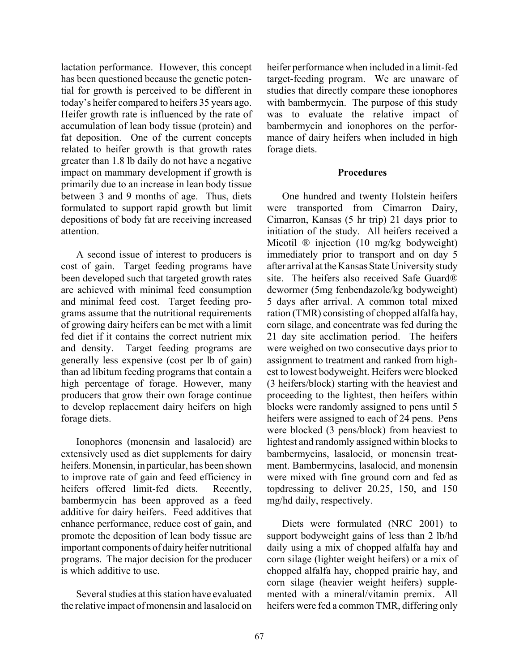lactation performance. However, this concept has been questioned because the genetic potential for growth is perceived to be different in today's heifer compared to heifers 35 years ago. Heifer growth rate is influenced by the rate of accumulation of lean body tissue (protein) and fat deposition. One of the current concepts related to heifer growth is that growth rates greater than 1.8 lb daily do not have a negative impact on mammary development if growth is primarily due to an increase in lean body tissue between 3 and 9 months of age. Thus, diets formulated to support rapid growth but limit depositions of body fat are receiving increased attention.

A second issue of interest to producers is cost of gain. Target feeding programs have been developed such that targeted growth rates are achieved with minimal feed consumption and minimal feed cost. Target feeding programs assume that the nutritional requirements of growing dairy heifers can be met with a limit fed diet if it contains the correct nutrient mix and density. Target feeding programs are generally less expensive (cost per lb of gain) than ad libitum feeding programs that contain a high percentage of forage. However, many producers that grow their own forage continue to develop replacement dairy heifers on high forage diets.

Ionophores (monensin and lasalocid) are extensively used as diet supplements for dairy heifers. Monensin, in particular, has been shown to improve rate of gain and feed efficiency in heifers offered limit-fed diets. Recently, bambermycin has been approved as a feed additive for dairy heifers. Feed additives that enhance performance, reduce cost of gain, and promote the deposition of lean body tissue are important components of dairy heifer nutritional programs. The major decision for the producer is which additive to use.

Several studies at this station have evaluated the relative impact of monensin and lasalocid on heifer performance when included in a limit-fed target-feeding program. We are unaware of studies that directly compare these ionophores with bambermycin. The purpose of this study was to evaluate the relative impact of bambermycin and ionophores on the performance of dairy heifers when included in high forage diets.

#### **Procedures**

One hundred and twenty Holstein heifers were transported from Cimarron Dairy, Cimarron, Kansas (5 hr trip) 21 days prior to initiation of the study. All heifers received a Micotil ® injection (10 mg/kg bodyweight) immediately prior to transport and on day 5 after arrival at the Kansas State University study site. The heifers also received Safe Guard® dewormer (5mg fenbendazole/kg bodyweight) 5 days after arrival. A common total mixed ration (TMR) consisting of chopped alfalfa hay, corn silage, and concentrate was fed during the 21 day site acclimation period. The heifers were weighed on two consecutive days prior to assignment to treatment and ranked from highest to lowest bodyweight. Heifers were blocked (3 heifers/block) starting with the heaviest and proceeding to the lightest, then heifers within blocks were randomly assigned to pens until 5 heifers were assigned to each of 24 pens. Pens were blocked (3 pens/block) from heaviest to lightest and randomly assigned within blocks to bambermycins, lasalocid, or monensin treatment. Bambermycins, lasalocid, and monensin were mixed with fine ground corn and fed as topdressing to deliver 20.25, 150, and 150 mg/hd daily, respectively.

Diets were formulated (NRC 2001) to support bodyweight gains of less than 2 lb/hd daily using a mix of chopped alfalfa hay and corn silage (lighter weight heifers) or a mix of chopped alfalfa hay, chopped prairie hay, and corn silage (heavier weight heifers) supplemented with a mineral/vitamin premix. All heifers were fed a common TMR, differing only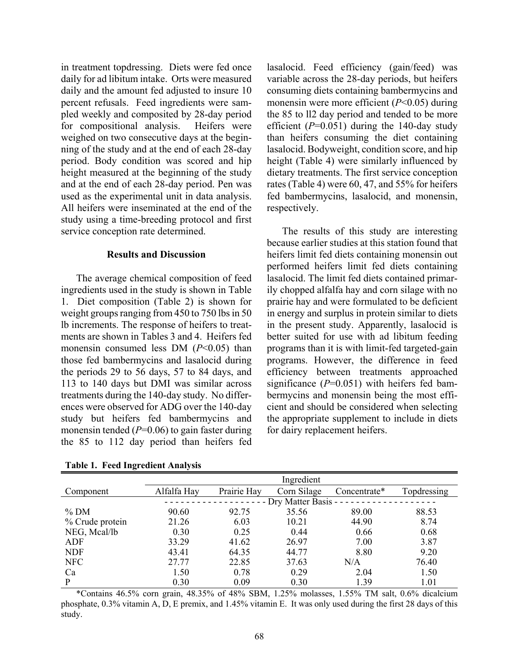in treatment topdressing. Diets were fed once daily for ad libitum intake. Orts were measured daily and the amount fed adjusted to insure 10 percent refusals. Feed ingredients were sampled weekly and composited by 28-day period for compositional analysis. Heifers were weighed on two consecutive days at the beginning of the study and at the end of each 28-day period. Body condition was scored and hip height measured at the beginning of the study and at the end of each 28-day period. Pen was used as the experimental unit in data analysis. All heifers were inseminated at the end of the study using a time-breeding protocol and first service conception rate determined.

#### **Results and Discussion**

The average chemical composition of feed ingredients used in the study is shown in Table 1. Diet composition (Table 2) is shown for weight groups ranging from 450 to 750 lbs in 50 lb increments. The response of heifers to treatments are shown in Tables 3 and 4. Heifers fed monensin consumed less DM (*P*<0.05) than those fed bambermycins and lasalocid during the periods 29 to 56 days, 57 to 84 days, and 113 to 140 days but DMI was similar across treatments during the 140-day study. No differences were observed for ADG over the 140-day study but heifers fed bambermycins and monensin tended (*P*=0.06) to gain faster during the 85 to 112 day period than heifers fed

variable across the 28-day periods, but heifers consuming diets containing bambermycins and monensin were more efficient (*P*<0.05) during the 85 to ll2 day period and tended to be more efficient  $(P=0.051)$  during the 140-day study than heifers consuming the diet containing lasalocid. Bodyweight, condition score, and hip height (Table 4) were similarly influenced by dietary treatments. The first service conception rates (Table 4) were 60, 47, and 55% for heifers fed bambermycins, lasalocid, and monensin, respectively.

lasalocid. Feed efficiency (gain/feed) was

The results of this study are interesting because earlier studies at this station found that heifers limit fed diets containing monensin out performed heifers limit fed diets containing lasalocid. The limit fed diets contained primarily chopped alfalfa hay and corn silage with no prairie hay and were formulated to be deficient in energy and surplus in protein similar to diets in the present study. Apparently, lasalocid is better suited for use with ad libitum feeding programs than it is with limit-fed targeted-gain programs. However, the difference in feed efficiency between treatments approached significance ( $P=0.051$ ) with heifers fed bambermycins and monensin being the most efficient and should be considered when selecting the appropriate supplement to include in diets for dairy replacement heifers.

|                 | Ingredient           |             |             |              |             |  |  |
|-----------------|----------------------|-------------|-------------|--------------|-------------|--|--|
| Component       | Alfalfa Hay          | Prairie Hay | Corn Silage | Concentrate* | Topdressing |  |  |
|                 | - Dry Matter Basis - |             |             |              |             |  |  |
| $%$ DM          | 90.60                | 92.75       | 35.56       | 89.00        | 88.53       |  |  |
| % Crude protein | 21.26                | 6.03        | 10.21       | 44.90        | 8.74        |  |  |
| NEG, Mcal/lb    | 0.30                 | 0.25        | 0.44        | 0.66         | 0.68        |  |  |
| ADF             | 33.29                | 41.62       | 26.97       | 7.00         | 3.87        |  |  |
| <b>NDF</b>      | 43.41                | 64.35       | 44.77       | 8.80         | 9.20        |  |  |
| <b>NFC</b>      | 27.77                | 22.85       | 37.63       | N/A          | 76.40       |  |  |
| Ca              | 1.50                 | 0.78        | 0.29        | 2.04         | 1.50        |  |  |
| P               | 0.30                 | 0.09        | 0.30        | 1.39         | 1.01        |  |  |

**Table 1. Feed Ingredient Analysis**

\*Contains 46.5% corn grain, 48.35% of 48% SBM, 1.25% molasses, 1.55% TM salt, 0.6% dicalcium phosphate, 0.3% vitamin A, D, E premix, and 1.45% vitamin E. It was only used during the first 28 days of this study.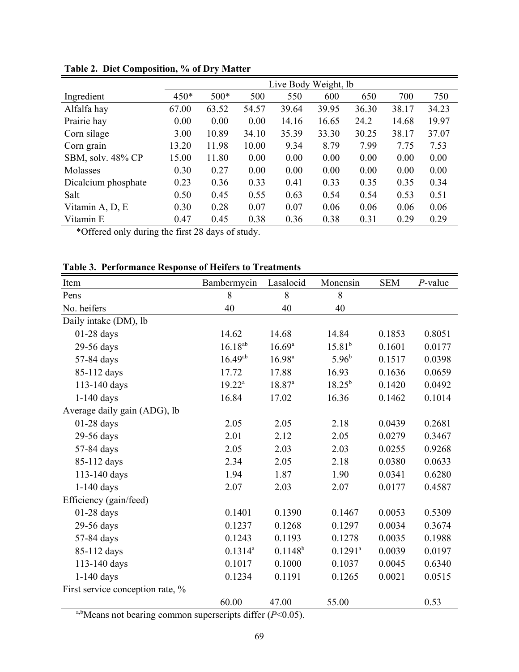|                     | Live Body Weight, lb |        |       |       |       |       |       |       |
|---------------------|----------------------|--------|-------|-------|-------|-------|-------|-------|
| Ingredient          | 450*                 | $500*$ | 500   | 550   | 600   | 650   | 700   | 750   |
| Alfalfa hay         | 67.00                | 63.52  | 54.57 | 39.64 | 39.95 | 36.30 | 38.17 | 34.23 |
| Prairie hay         | 0.00                 | 0.00   | 0.00  | 14.16 | 16.65 | 24.2  | 14.68 | 19.97 |
| Corn silage         | 3.00                 | 10.89  | 34.10 | 35.39 | 33.30 | 30.25 | 38.17 | 37.07 |
| Corn grain          | 13.20                | 11.98  | 10.00 | 9.34  | 8.79  | 7.99  | 7.75  | 7.53  |
| SBM, solv. 48% CP   | 15.00                | 11.80  | 0.00  | 0.00  | 0.00  | 0.00  | 0.00  | 0.00  |
| Molasses            | 0.30                 | 0.27   | 0.00  | 0.00  | 0.00  | 0.00  | 0.00  | 0.00  |
| Dicalcium phosphate | 0.23                 | 0.36   | 0.33  | 0.41  | 0.33  | 0.35  | 0.35  | 0.34  |
| Salt                | 0.50                 | 0.45   | 0.55  | 0.63  | 0.54  | 0.54  | 0.53  | 0.51  |
| Vitamin A, D, E     | 0.30                 | 0.28   | 0.07  | 0.07  | 0.06  | 0.06  | 0.06  | 0.06  |
| Vitamin E           | 0.47                 | 0.45   | 0.38  | 0.36  | 0.38  | 0.31  | 0.29  | 0.29  |

**Table 2. Diet Composition, % of Dry Matter**

\*Offered only during the first 28 days of study.

| Item                             | Bambermycin  | Lasalocid    | Monensin    | <b>SEM</b> | $P$ -value |
|----------------------------------|--------------|--------------|-------------|------------|------------|
| Pens                             | 8            | 8            | 8           |            |            |
| No. heifers                      | 40           | 40           | 40          |            |            |
| Daily intake (DM), lb            |              |              |             |            |            |
| $01-28$ days                     | 14.62        | 14.68        | 14.84       | 0.1853     | 0.8051     |
| 29-56 days                       | $16.18^{ab}$ | $16.69^{a}$  | $15.81^{b}$ | 0.1601     | 0.0177     |
| 57-84 days                       | $16.49^{ab}$ | $16.98^{a}$  | $5.96^{b}$  | 0.1517     | 0.0398     |
| 85-112 days                      | 17.72        | 17.88        | 16.93       | 0.1636     | 0.0659     |
| 113-140 days                     | $19.22^a$    | $18.87^{a}$  | $18.25^{b}$ | 0.1420     | 0.0492     |
| $1-140$ days                     | 16.84        | 17.02        | 16.36       | 0.1462     | 0.1014     |
| Average daily gain (ADG), lb     |              |              |             |            |            |
| $01-28$ days                     | 2.05         | 2.05         | 2.18        | 0.0439     | 0.2681     |
| 29-56 days                       | 2.01         | 2.12         | 2.05        | 0.0279     | 0.3467     |
| 57-84 days                       | 2.05         | 2.03         | 2.03        | 0.0255     | 0.9268     |
| 85-112 days                      | 2.34         | 2.05         | 2.18        | 0.0380     | 0.0633     |
| 113-140 days                     | 1.94         | 1.87         | 1.90        | 0.0341     | 0.6280     |
| 1-140 days                       | 2.07         | 2.03         | 2.07        | 0.0177     | 0.4587     |
| Efficiency (gain/feed)           |              |              |             |            |            |
| $01-28$ days                     | 0.1401       | 0.1390       | 0.1467      | 0.0053     | 0.5309     |
| 29-56 days                       | 0.1237       | 0.1268       | 0.1297      | 0.0034     | 0.3674     |
| 57-84 days                       | 0.1243       | 0.1193       | 0.1278      | 0.0035     | 0.1988     |
| 85-112 days                      | $0.1314^{a}$ | $0.1148^{b}$ | $0.1291^a$  | 0.0039     | 0.0197     |
| 113-140 days                     | 0.1017       | 0.1000       | 0.1037      | 0.0045     | 0.6340     |
| $1-140$ days                     | 0.1234       | 0.1191       | 0.1265      | 0.0021     | 0.0515     |
| First service conception rate, % |              |              |             |            |            |
|                                  | 60.00        | 47.00        | 55.00       |            | 0.53       |

a,b<sub>Means</sub> not bearing common superscripts differ (*P*<0.05).